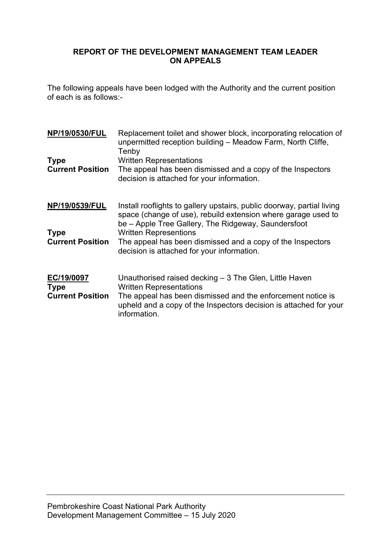# **REPORT OF THE DEVELOPMENT MANAGEMENT TEAM LEADER ON APPEALS**

The following appeals have been lodged with the Authority and the current position of each is as follows:-

| <b>NP/19/0530/FUL</b>                                | Replacement toilet and shower block, incorporating relocation of<br>unpermitted reception building - Meadow Farm, North Cliffe,<br>Tenby                                                                                                      |
|------------------------------------------------------|-----------------------------------------------------------------------------------------------------------------------------------------------------------------------------------------------------------------------------------------------|
| <b>Type</b><br><b>Current Position</b>               | <b>Written Representations</b><br>The appeal has been dismissed and a copy of the Inspectors<br>decision is attached for your information.                                                                                                    |
| NP/19/0539/FUL                                       | Install rooflights to gallery upstairs, public doorway, partial living<br>space (change of use), rebuild extension where garage used to<br>be – Apple Tree Gallery, The Ridgeway, Saundersfoot                                                |
| <b>Type</b><br><b>Current Position</b>               | <b>Written Representions</b><br>The appeal has been dismissed and a copy of the Inspectors<br>decision is attached for your information.                                                                                                      |
| EC/19/0097<br><b>Type</b><br><b>Current Position</b> | Unauthorised raised decking $-3$ The Glen, Little Haven<br><b>Written Representations</b><br>The appeal has been dismissed and the enforcement notice is<br>upheld and a copy of the Inspectors decision is attached for your<br>information. |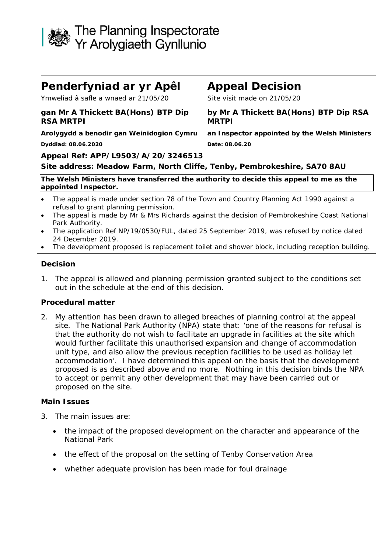

# **Penderfyniad ar yr Apêl Appeal Decision**

Ymweliad â safle a wnaed ar 21/05/20 Site visit made on 21/05/20

# **gan Mr A Thickett BA(Hons) BTP Dip RSA MRTPI**

**Arolygydd a benodir gan Weinidogion Cymru an Inspector appointed by the Welsh Ministers Dyddiad: 08.06.2020 Date: 08.06.20**

**by Mr A Thickett BA(Hons) BTP Dip RSA MRTPI**

### **Appeal Ref: APP/L9503/A/20/3246513**

#### **Site address: Meadow Farm, North Cliffe, Tenby, Pembrokeshire, SA70 8AU**

**The Welsh Ministers have transferred the authority to decide this appeal to me as the appointed Inspector.**

- The appeal is made under section 78 of the Town and Country Planning Act 1990 against a refusal to grant planning permission.
- The appeal is made by Mr & Mrs Richards against the decision of Pembrokeshire Coast National Park Authority.
- The application Ref NP/19/0530/FUL, dated 25 September 2019, was refused by notice dated 24 December 2019.
- The development proposed is replacement toilet and shower block, including reception building.

#### **Decision**

1. The appeal is allowed and planning permission granted subject to the conditions set out in the schedule at the end of this decision.

#### **Procedural matter**

2. My attention has been drawn to alleged breaches of planning control at the appeal site. The National Park Authority (NPA) state that: *'one of the reasons for refusal is that the authority do not wish to facilitate an upgrade in facilities at the site which would further facilitate this unauthorised expansion and change of accommodation unit type, and also allow the previous reception facilities to be used as holiday let accommodation'*. I have determined this appeal on the basis that the development proposed is as described above and no more. Nothing in this decision binds the NPA to accept or permit any other development that may have been carried out or proposed on the site.

#### **Main Issues**

- 3. The main issues are:
	- the impact of the proposed development on the character and appearance of the National Park
	- the effect of the proposal on the setting of Tenby Conservation Area
	- whether adequate provision has been made for foul drainage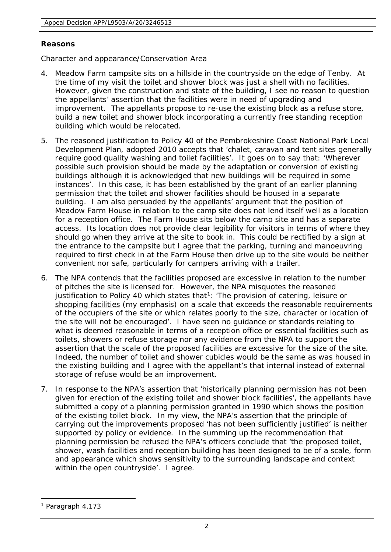### **Reasons**

Character and appearance/Conservation Area

- 4. Meadow Farm campsite sits on a hillside in the countryside on the edge of Tenby. At the time of my visit the toilet and shower block was just a shell with no facilities. However, given the construction and state of the building, I see no reason to question the appellants' assertion that the facilities were in need of upgrading and improvement. The appellants propose to re-use the existing block as a refuse store, build a new toilet and shower block incorporating a currently free standing reception building which would be relocated.
- 5. The reasoned justification to Policy 40 of the Pembrokeshire Coast National Park Local Development Plan, adopted 2010 accepts that *'chalet, caravan and tent sites generally require good quality washing and toilet facilities'*. It goes on to say that: *'Wherever possible such provision should be made by the adaptation or conversion of existing buildings although it is acknowledged that new buildings will be required in some instances'*. In this case, it has been established by the grant of an earlier planning permission that the toilet and shower facilities should be housed in a separate building. I am also persuaded by the appellants' argument that the position of Meadow Farm House in relation to the camp site does not lend itself well as a location for a reception office. The Farm House sits below the camp site and has a separate access. Its location does not provide clear legibility for visitors in terms of where they should go when they arrive at the site to book in. This could be rectified by a sign at the entrance to the campsite but I agree that the parking, turning and manoeuvring required to first check in at the Farm House then drive up to the site would be neither convenient nor safe, particularly for campers arriving with a trailer.
- 6. The NPA contends that the facilities proposed are excessive in relation to the number of pitches the site is licensed for. However, the NPA misquotes the reasoned justification to Policy 40 which states that<sup>1</sup>: *The provision of catering, leisure or shopping facilities* (my emphasis) *on a scale that exceeds the reasonable requirements of the occupiers of the site or which relates poorly to the size, character or location of the site will not be encouraged*'. I have seen no guidance or standards relating to what is deemed reasonable in terms of a reception office or essential facilities such as toilets, showers or refuse storage nor any evidence from the NPA to support the assertion that the scale of the proposed facilities are excessive for the size of the site. Indeed, the number of toilet and shower cubicles would be the same as was housed in the existing building and I agree with the appellant's that internal instead of external storage of refuse would be an improvement.
- 7. In response to the NPA's assertion that *'historically planning permission has not been given for erection of the existing toilet and shower block facilities'*, the appellants have submitted a copy of a planning permission granted in 1990 which shows the position of the existing toilet block. In my view, the NPA's assertion that the principle of carrying out the improvements proposed *'has not been sufficiently justified'* is neither supported by policy or evidence. In the summing up the recommendation that planning permission be refused the NPA's officers conclude that *'the proposed toilet, shower, wash facilities and reception building has been designed to be of a scale, form and appearance which shows sensitivity to the surrounding landscape and context within the open countryside'*. I agree.

<span id="page-2-0"></span><sup>&</sup>lt;sup>1</sup> Paragraph 4.173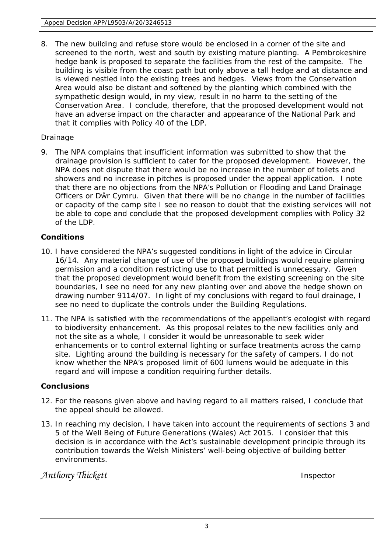8. The new building and refuse store would be enclosed in a corner of the site and screened to the north, west and south by existing mature planting. A Pembrokeshire hedge bank is proposed to separate the facilities from the rest of the campsite. The building is visible from the coast path but only above a tall hedge and at distance and is viewed nestled into the existing trees and hedges. Views from the Conservation Area would also be distant and softened by the planting which combined with the sympathetic design would, in my view, result in no harm to the setting of the Conservation Area. I conclude, therefore, that the proposed development would not have an adverse impact on the character and appearance of the National Park and that it complies with Policy 40 of the LDP.

# Drainage

9. The NPA complains that insufficient information was submitted to show that the drainage provision is sufficient to cater for the proposed development. However, the NPA does not dispute that there would be no increase in the number of toilets and showers and no increase in pitches is proposed under the appeal application. I note that there are no objections from the NPA's Pollution or Flooding and Land Drainage Officers or Dŵr Cymru. Given that there will be no change in the number of facilities or capacity of the camp site I see no reason to doubt that the existing services will not be able to cope and conclude that the proposed development complies with Policy 32 of the LDP.

# **Conditions**

- 10. I have considered the NPA's suggested conditions in light of the advice in Circular 16/14. Any material change of use of the proposed buildings would require planning permission and a condition restricting use to that permitted is unnecessary. Given that the proposed development would benefit from the existing screening on the site boundaries, I see no need for any new planting over and above the hedge shown on drawing number 9114/07. In light of my conclusions with regard to foul drainage, I see no need to duplicate the controls under the Building Regulations.
- 11. The NPA is satisfied with the recommendations of the appellant's ecologist with regard to biodiversity enhancement. As this proposal relates to the new facilities only and not the site as a whole, I consider it would be unreasonable to seek wider enhancements or to control external lighting or surface treatments across the camp site. Lighting around the building is necessary for the safety of campers. I do not know whether the NPA's proposed limit of 600 lumens would be adequate in this regard and will impose a condition requiring further details.

# **Conclusions**

- 12. For the reasons given above and having regard to all matters raised, I conclude that the appeal should be allowed.
- 13. In reaching my decision, I have taken into account the requirements of sections 3 and 5 of the Well Being of Future Generations (Wales) Act 2015. I consider that this decision is in accordance with the Act's sustainable development principle through its contribution towards the Welsh Ministers' well-being objective of building better environments.

*Anthony Thickett* Inspector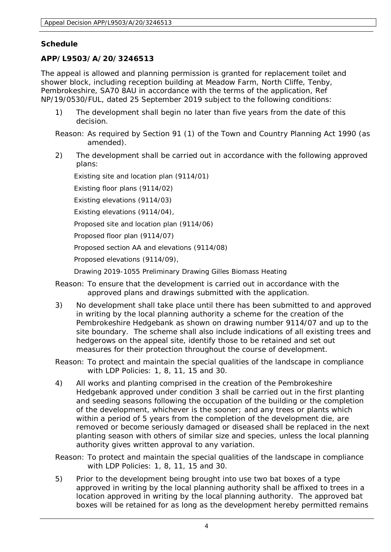# **Schedule**

# **APP/L9503/A/20/3246513**

The appeal is allowed and planning permission is granted for replacement toilet and shower block, including reception building at Meadow Farm, North Cliffe, Tenby, Pembrokeshire, SA70 8AU in accordance with the terms of the application, Ref NP/19/0530/FUL, dated 25 September 2019 subject to the following conditions:

- 1) The development shall begin no later than five years from the date of this decision.
- Reason: As required by Section 91 (1) of the Town and Country Planning Act 1990 (as amended).
- 2) The development shall be carried out in accordance with the following approved plans:

Existing site and location plan (9114/01)

Existing floor plans (9114/02)

Existing elevations (9114/03)

Existing elevations (9114/04),

Proposed site and location plan (9114/06)

Proposed floor plan (9114/07)

Proposed section AA and elevations (9114/08)

Proposed elevations (9114/09),

Drawing 2019-1055 Preliminary Drawing Gilles Biomass Heating

- Reason: To ensure that the development is carried out in accordance with the approved plans and drawings submitted with the application.
- 3) No development shall take place until there has been submitted to and approved in writing by the local planning authority a scheme for the creation of the Pembrokeshire Hedgebank as shown on drawing number 9114/07 and up to the site boundary. The scheme shall also include indications of all existing trees and hedgerows on the appeal site, identify those to be retained and set out measures for their protection throughout the course of development.
- Reason: To protect and maintain the special qualities of the landscape in compliance with LDP Policies: 1, 8, 11, 15 and 30.
- 4) All works and planting comprised in the creation of the Pembrokeshire Hedgebank approved under condition 3 shall be carried out in the first planting and seeding seasons following the occupation of the building or the completion of the development, whichever is the sooner; and any trees or plants which within a period of 5 years from the completion of the development die, are removed or become seriously damaged or diseased shall be replaced in the next planting season with others of similar size and species, unless the local planning authority gives written approval to any variation.
- Reason: To protect and maintain the special qualities of the landscape in compliance with LDP Policies: 1, 8, 11, 15 and 30.
- 5) Prior to the development being brought into use two bat boxes of a type approved in writing by the local planning authority shall be affixed to trees in a location approved in writing by the local planning authority. The approved bat boxes will be retained for as long as the development hereby permitted remains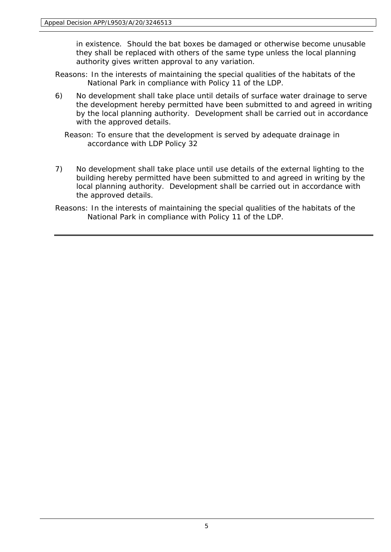in existence. Should the bat boxes be damaged or otherwise become unusable they shall be replaced with others of the same type unless the local planning authority gives written approval to any variation.

- Reasons: In the interests of maintaining the special qualities of the habitats of the National Park in compliance with Policy 11 of the LDP.
- 6) No development shall take place until details of surface water drainage to serve the development hereby permitted have been submitted to and agreed in writing by the local planning authority. Development shall be carried out in accordance with the approved details.
	- Reason: To ensure that the development is served by adequate drainage in accordance with LDP Policy 32
- 7) No development shall take place until use details of the external lighting to the building hereby permitted have been submitted to and agreed in writing by the local planning authority. Development shall be carried out in accordance with the approved details.
- Reasons: In the interests of maintaining the special qualities of the habitats of the National Park in compliance with Policy 11 of the LDP.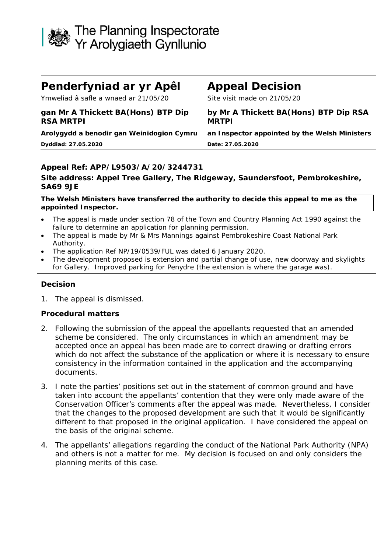

# **Penderfyniad ar yr Apêl Appeal Decision**

Ymweliad â safle a wnaed ar 21/05/20 Site visit made on 21/05/20

**gan Mr A Thickett BA(Hons) BTP Dip RSA MRTPI**

**Dyddiad: 27.05.2020 Date: 27.05.2020**

**by Mr A Thickett BA(Hons) BTP Dip RSA MRTPI**

**Arolygydd a benodir gan Weinidogion Cymru an Inspector appointed by the Welsh Ministers**

# **Appeal Ref: APP/L9503/A/20/3244731**

### **Site address: Appel Tree Gallery, The Ridgeway, Saundersfoot, Pembrokeshire, SA69 9JE**

**The Welsh Ministers have transferred the authority to decide this appeal to me as the appointed Inspector.**

- The appeal is made under section 78 of the Town and Country Planning Act 1990 against the failure to determine an application for planning permission.
- The appeal is made by Mr & Mrs Mannings against Pembrokeshire Coast National Park Authority.
- The application Ref NP/19/0539/FUL was dated 6 January 2020.
- The development proposed is extension and partial change of use, new doorway and skylights for Gallery. Improved parking for Penydre (the extension is where the garage was).

#### **Decision**

1. The appeal is dismissed.

# **Procedural matters**

- 2. Following the submission of the appeal the appellants requested that an amended scheme be considered. The only circumstances in which an amendment may be accepted once an appeal has been made are to correct drawing or drafting errors which do not affect the substance of the application or where it is necessary to ensure consistency in the information contained in the application and the accompanying documents.
- 3. I note the parties' positions set out in the statement of common ground and have taken into account the appellants' contention that they were only made aware of the Conservation Officer's comments after the appeal was made. Nevertheless, I consider that the changes to the proposed development are such that it would be significantly different to that proposed in the original application. I have considered the appeal on the basis of the original scheme.
- 4. The appellants' allegations regarding the conduct of the National Park Authority (NPA) and others is not a matter for me. My decision is focused on and only considers the planning merits of this case.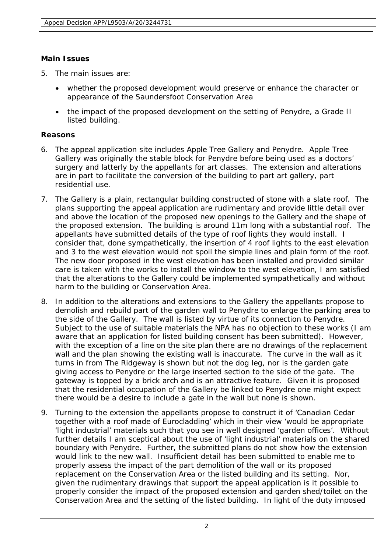# **Main Issues**

- 5. The main issues are:
	- whether the proposed development would preserve or enhance the character or appearance of the Saundersfoot Conservation Area
	- the impact of the proposed development on the setting of Penydre, a Grade II listed building.

# **Reasons**

- 6. The appeal application site includes Apple Tree Gallery and Penydre. Apple Tree Gallery was originally the stable block for Penydre before being used as a doctors' surgery and latterly by the appellants for art classes. The extension and alterations are in part to facilitate the conversion of the building to part art gallery, part residential use.
- 7. The Gallery is a plain, rectangular building constructed of stone with a slate roof. The plans supporting the appeal application are rudimentary and provide little detail over and above the location of the proposed new openings to the Gallery and the shape of the proposed extension. The building is around 11m long with a substantial roof. The appellants have submitted details of the type of roof lights they would install. I consider that, done sympathetically, the insertion of 4 roof lights to the east elevation and 3 to the west elevation would not spoil the simple lines and plain form of the roof. The new door proposed in the west elevation has been installed and provided similar care is taken with the works to install the window to the west elevation, I am satisfied that the alterations to the Gallery could be implemented sympathetically and without harm to the building or Conservation Area.
- 8. In addition to the alterations and extensions to the Gallery the appellants propose to demolish and rebuild part of the garden wall to Penydre to enlarge the parking area to the side of the Gallery. The wall is listed by virtue of its connection to Penydre. Subject to the use of suitable materials the NPA has no objection to these works (I am aware that an application for listed building consent has been submitted). However, with the exception of a line on the site plan there are no drawings of the replacement wall and the plan showing the existing wall is inaccurate. The curve in the wall as it turns in from The Ridgeway is shown but not the dog leg, nor is the garden gate giving access to Penydre or the large inserted section to the side of the gate. The gateway is topped by a brick arch and is an attractive feature. Given it is proposed that the residential occupation of the Gallery be linked to Penydre one might expect there would be a desire to include a gate in the wall but none is shown.
- 9. Turning to the extension the appellants propose to construct it of *'Canadian Cedar together with a roof made of Eurocladding'* which in their view *'would be appropriate 'light industrial' materials such that you see in well designed 'garden offices'*. Without further details I am sceptical about the use of 'light industrial' materials on the shared boundary with Penydre. Further, the submitted plans do not show how the extension would link to the new wall. Insufficient detail has been submitted to enable me to properly assess the impact of the part demolition of the wall or its proposed replacement on the Conservation Area or the listed building and its setting. Nor, given the rudimentary drawings that support the appeal application is it possible to properly consider the impact of the proposed extension and garden shed/toilet on the Conservation Area and the setting of the listed building. In light of the duty imposed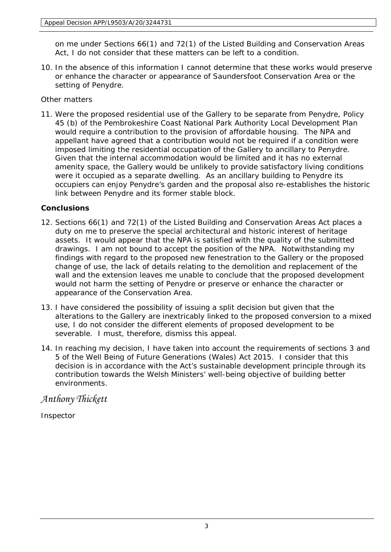on me under Sections 66(1) and 72(1) of the Listed Building and Conservation Areas Act, I do not consider that these matters can be left to a condition.

10. In the absence of this information I cannot determine that these works would preserve or enhance the character or appearance of Saundersfoot Conservation Area or the setting of Penydre.

Other matters

11. Were the proposed residential use of the Gallery to be separate from Penydre, Policy 45 (b) of the Pembrokeshire Coast National Park Authority Local Development Plan would require a contribution to the provision of affordable housing. The NPA and appellant have agreed that a contribution would not be required if a condition were imposed limiting the residential occupation of the Gallery to ancillary to Penydre. Given that the internal accommodation would be limited and it has no external amenity space, the Gallery would be unlikely to provide satisfactory living conditions were it occupied as a separate dwelling. As an ancillary building to Penydre its occupiers can enjoy Penydre's garden and the proposal also re-establishes the historic link between Penydre and its former stable block.

# **Conclusions**

- 12. Sections 66(1) and 72(1) of the Listed Building and Conservation Areas Act places a duty on me to preserve the special architectural and historic interest of heritage assets. It would appear that the NPA is satisfied with the quality of the submitted drawings. I am not bound to accept the position of the NPA. Notwithstanding my findings with regard to the proposed new fenestration to the Gallery or the proposed change of use, the lack of details relating to the demolition and replacement of the wall and the extension leaves me unable to conclude that the proposed development would not harm the setting of Penydre or preserve or enhance the character or appearance of the Conservation Area.
- 13. I have considered the possibility of issuing a split decision but given that the alterations to the Gallery are inextricably linked to the proposed conversion to a mixed use, I do not consider the different elements of proposed development to be severable. I must, therefore, dismiss this appeal.
- 14. In reaching my decision, I have taken into account the requirements of sections 3 and 5 of the Well Being of Future Generations (Wales) Act 2015. I consider that this decision is in accordance with the Act's sustainable development principle through its contribution towards the Welsh Ministers' well-being objective of building better environments.

*Anthony Thickett*

Inspector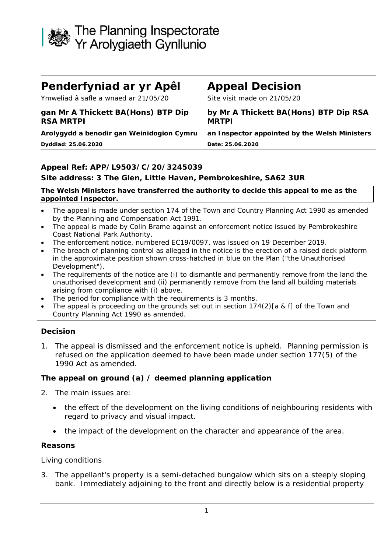

# **Penderfyniad ar yr Apêl Appeal Decision**

Ymweliad â safle a wnaed ar 21/05/20 Site visit made on 21/05/20

# **gan Mr A Thickett BA(Hons) BTP Dip RSA MRTPI**

**Dyddiad: 25.06.2020 Date: 25.06.2020**

### **by Mr A Thickett BA(Hons) BTP Dip RSA MRTPI**

**Arolygydd a benodir gan Weinidogion Cymru an Inspector appointed by the Welsh Ministers**

# **Appeal Ref: APP/L9503/C/20/3245039**

# **Site address: 3 The Glen, Little Haven, Pembrokeshire, SA62 3UR**

**The Welsh Ministers have transferred the authority to decide this appeal to me as the appointed Inspector.**

- The appeal is made under section 174 of the Town and Country Planning Act 1990 as amended by the Planning and Compensation Act 1991.
- The appeal is made by Colin Brame against an enforcement notice issued by Pembrokeshire Coast National Park Authority.
- The enforcement notice, numbered EC19/0097, was issued on 19 December 2019.
- The breach of planning control as alleged in the notice is the erection of a raised deck platform in the approximate position shown cross-hatched in blue on the Plan ("the Unauthorised Development").
- The requirements of the notice are (i) to dismantle and permanently remove from the land the unauthorised development and (ii) permanently remove from the land all building materials arising from compliance with (i) above.
- The period for compliance with the requirements is 3 months.
- The appeal is proceeding on the grounds set out in section 174(2)[a & f] of the Town and Country Planning Act 1990 as amended.

# **Decision**

1. The appeal is dismissed and the enforcement notice is upheld. Planning permission is refused on the application deemed to have been made under section 177(5) of the 1990 Act as amended.

# **The appeal on ground (a) / deemed planning application**

- 2. The main issues are:
	- the effect of the development on the living conditions of neighbouring residents with regard to privacy and visual impact.
	- the impact of the development on the character and appearance of the area.

#### **Reasons**

Living conditions

3. The appellant's property is a semi-detached bungalow which sits on a steeply sloping bank. Immediately adjoining to the front and directly below is a residential property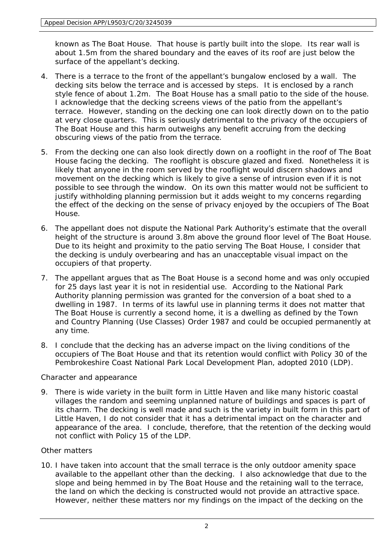known as The Boat House. That house is partly built into the slope. Its rear wall is about 1.5m from the shared boundary and the eaves of its roof are just below the surface of the appellant's decking.

- 4. There is a terrace to the front of the appellant's bungalow enclosed by a wall. The decking sits below the terrace and is accessed by steps. It is enclosed by a ranch style fence of about 1.2m. The Boat House has a small patio to the side of the house. I acknowledge that the decking screens views of the patio from the appellant's terrace. However, standing on the decking one can look directly down on to the patio at very close quarters. This is seriously detrimental to the privacy of the occupiers of The Boat House and this harm outweighs any benefit accruing from the decking obscuring views of the patio from the terrace.
- 5. From the decking one can also look directly down on a rooflight in the roof of The Boat House facing the decking. The rooflight is obscure glazed and fixed. Nonetheless it is likely that anyone in the room served by the rooflight would discern shadows and movement on the decking which is likely to give a sense of intrusion even if it is not possible to see through the window. On its own this matter would not be sufficient to justify withholding planning permission but it adds weight to my concerns regarding the effect of the decking on the sense of privacy enjoyed by the occupiers of The Boat House.
- 6. The appellant does not dispute the National Park Authority's estimate that the overall height of the structure is around 3.8m above the ground floor level of The Boat House. Due to its height and proximity to the patio serving The Boat House, I consider that the decking is unduly overbearing and has an unacceptable visual impact on the occupiers of that property.
- 7. The appellant argues that as The Boat House is a second home and was only occupied for 25 days last year it is not in residential use. According to the National Park Authority planning permission was granted for the conversion of a boat shed to a dwelling in 1987. In terms of its lawful use in planning terms it does not matter that The Boat House is currently a second home, it is a dwelling as defined by the Town and Country Planning (Use Classes) Order 1987 and could be occupied permanently at any time.
- 8. I conclude that the decking has an adverse impact on the living conditions of the occupiers of The Boat House and that its retention would conflict with Policy 30 of the Pembrokeshire Coast National Park Local Development Plan, adopted 2010 (LDP).

# Character and appearance

9. There is wide variety in the built form in Little Haven and like many historic coastal villages the random and seeming unplanned nature of buildings and spaces is part of its charm. The decking is well made and such is the variety in built form in this part of Little Haven, I do not consider that it has a detrimental impact on the character and appearance of the area. I conclude, therefore, that the retention of the decking would not conflict with Policy 15 of the LDP.

# Other matters

10. I have taken into account that the small terrace is the only outdoor amenity space available to the appellant other than the decking. I also acknowledge that due to the slope and being hemmed in by The Boat House and the retaining wall to the terrace, the land on which the decking is constructed would not provide an attractive space. However, neither these matters nor my findings on the impact of the decking on the